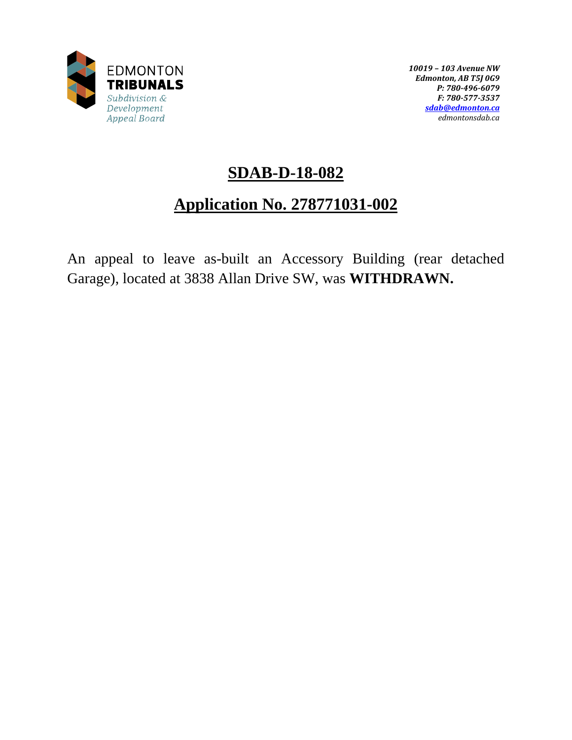

*10019 – 103 Avenue NW Edmonton, AB T5J 0G9 P: 780-496-6079 F: 780-577-3537 [sdab@edmonton.ca](mailto:sdab@edmonton.ca) edmontonsdab.ca*

# **SDAB-D-18-082**

# **Application No. 278771031-002**

An appeal to leave as-built an Accessory Building (rear detached Garage), located at 3838 Allan Drive SW, was **WITHDRAWN.**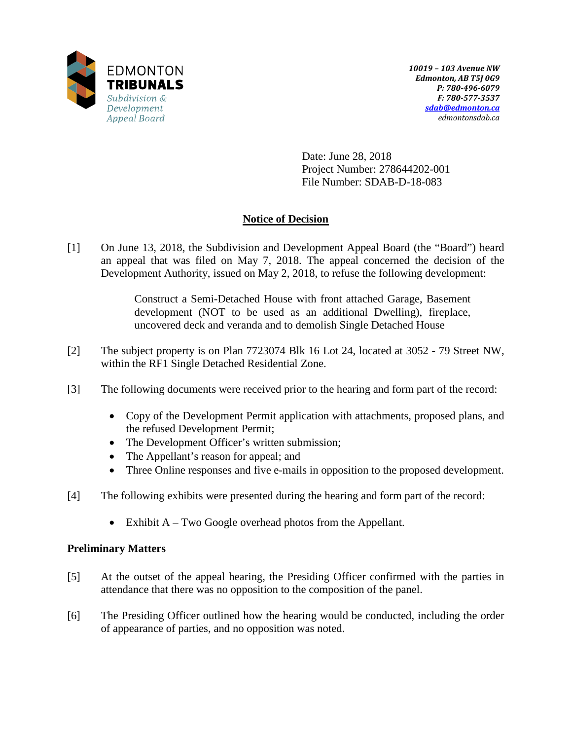

Date: June 28, 2018 Project Number: 278644202-001 File Number: SDAB-D-18-083

# **Notice of Decision**

[1] On June 13, 2018, the Subdivision and Development Appeal Board (the "Board") heard an appeal that was filed on May 7, 2018. The appeal concerned the decision of the Development Authority, issued on May 2, 2018, to refuse the following development:

> Construct a Semi-Detached House with front attached Garage, Basement development (NOT to be used as an additional Dwelling), fireplace, uncovered deck and veranda and to demolish Single Detached House

- [2] The subject property is on Plan 7723074 Blk 16 Lot 24, located at 3052 79 Street NW, within the RF1 Single Detached Residential Zone.
- [3] The following documents were received prior to the hearing and form part of the record:
	- Copy of the Development Permit application with attachments, proposed plans, and the refused Development Permit;
	- The Development Officer's written submission;
	- The Appellant's reason for appeal; and
	- Three Online responses and five e-mails in opposition to the proposed development.
- [4] The following exhibits were presented during the hearing and form part of the record:
	- Exhibit A Two Google overhead photos from the Appellant.

## **Preliminary Matters**

- [5] At the outset of the appeal hearing, the Presiding Officer confirmed with the parties in attendance that there was no opposition to the composition of the panel.
- [6] The Presiding Officer outlined how the hearing would be conducted, including the order of appearance of parties, and no opposition was noted.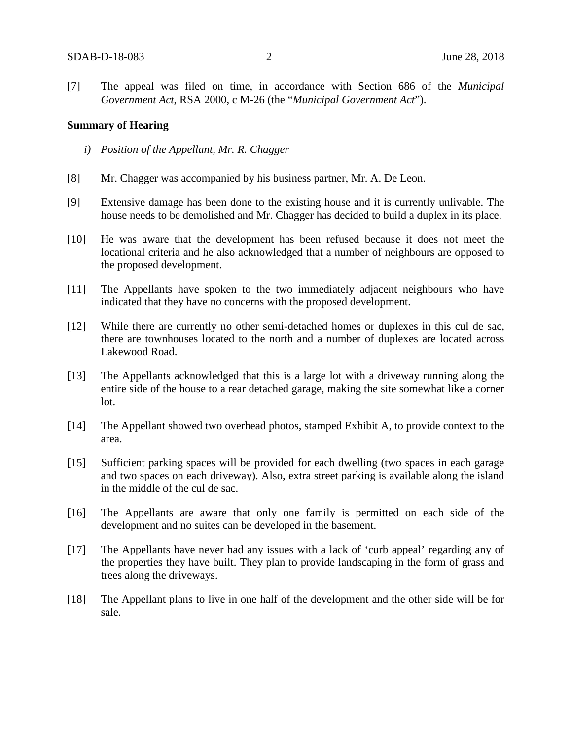[7] The appeal was filed on time, in accordance with Section 686 of the *Municipal Government Act*, RSA 2000, c M-26 (the "*Municipal Government Act*").

#### **Summary of Hearing**

- *i) Position of the Appellant, Mr. R. Chagger*
- [8] Mr. Chagger was accompanied by his business partner, Mr. A. De Leon.
- [9] Extensive damage has been done to the existing house and it is currently unlivable. The house needs to be demolished and Mr. Chagger has decided to build a duplex in its place.
- [10] He was aware that the development has been refused because it does not meet the locational criteria and he also acknowledged that a number of neighbours are opposed to the proposed development.
- [11] The Appellants have spoken to the two immediately adjacent neighbours who have indicated that they have no concerns with the proposed development.
- [12] While there are currently no other semi-detached homes or duplexes in this cul de sac, there are townhouses located to the north and a number of duplexes are located across Lakewood Road.
- [13] The Appellants acknowledged that this is a large lot with a driveway running along the entire side of the house to a rear detached garage, making the site somewhat like a corner lot.
- [14] The Appellant showed two overhead photos, stamped Exhibit A, to provide context to the area.
- [15] Sufficient parking spaces will be provided for each dwelling (two spaces in each garage and two spaces on each driveway). Also, extra street parking is available along the island in the middle of the cul de sac.
- [16] The Appellants are aware that only one family is permitted on each side of the development and no suites can be developed in the basement.
- [17] The Appellants have never had any issues with a lack of 'curb appeal' regarding any of the properties they have built. They plan to provide landscaping in the form of grass and trees along the driveways.
- [18] The Appellant plans to live in one half of the development and the other side will be for sale.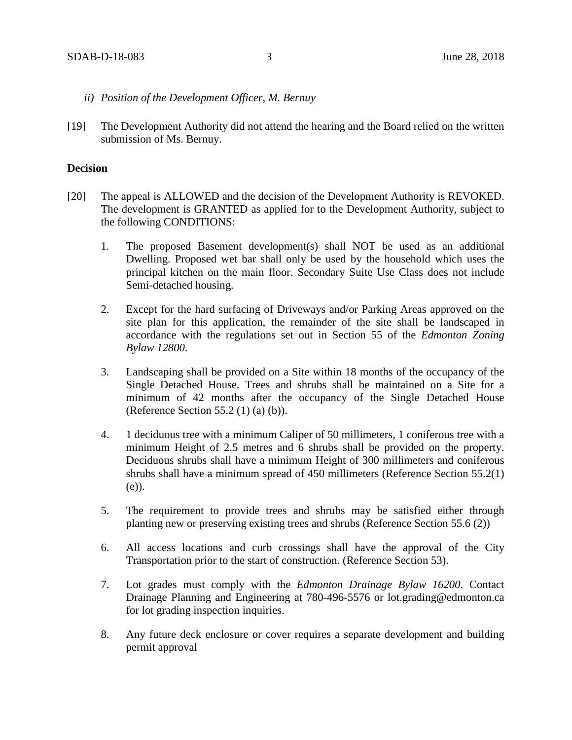- *ii) Position of the Development Officer, M. Bernuy*
- [19] The Development Authority did not attend the hearing and the Board relied on the written submission of Ms. Bernuy.

#### **Decision**

- [20] The appeal is ALLOWED and the decision of the Development Authority is REVOKED. The development is GRANTED as applied for to the Development Authority, subject to the following CONDITIONS:
	- 1. The proposed Basement development(s) shall NOT be used as an additional Dwelling. Proposed wet bar shall only be used by the household which uses the principal kitchen on the main floor. Secondary Suite Use Class does not include Semi-detached housing.
	- 2. Except for the hard surfacing of Driveways and/or Parking Areas approved on the site plan for this application, the remainder of the site shall be landscaped in accordance with the regulations set out in Section 55 of the *Edmonton Zoning Bylaw 12800*.
	- 3. Landscaping shall be provided on a Site within 18 months of the occupancy of the Single Detached House. Trees and shrubs shall be maintained on a Site for a minimum of 42 months after the occupancy of the Single Detached House (Reference Section 55.2 (1) (a) (b)).
	- 4. 1 deciduous tree with a minimum Caliper of 50 millimeters, 1 coniferous tree with a minimum Height of 2.5 metres and 6 shrubs shall be provided on the property. Deciduous shrubs shall have a minimum Height of 300 millimeters and coniferous shrubs shall have a minimum spread of 450 millimeters (Reference Section 55.2(1) (e)).
	- 5. The requirement to provide trees and shrubs may be satisfied either through planting new or preserving existing trees and shrubs (Reference Section 55.6 (2))
	- 6. All access locations and curb crossings shall have the approval of the City Transportation prior to the start of construction. (Reference Section 53).
	- 7. Lot grades must comply with the *Edmonton Drainage Bylaw 16200*. Contact Drainage Planning and Engineering at 780-496-5576 or lot.grading@edmonton.ca for lot grading inspection inquiries.
	- 8. Any future deck enclosure or cover requires a separate development and building permit approval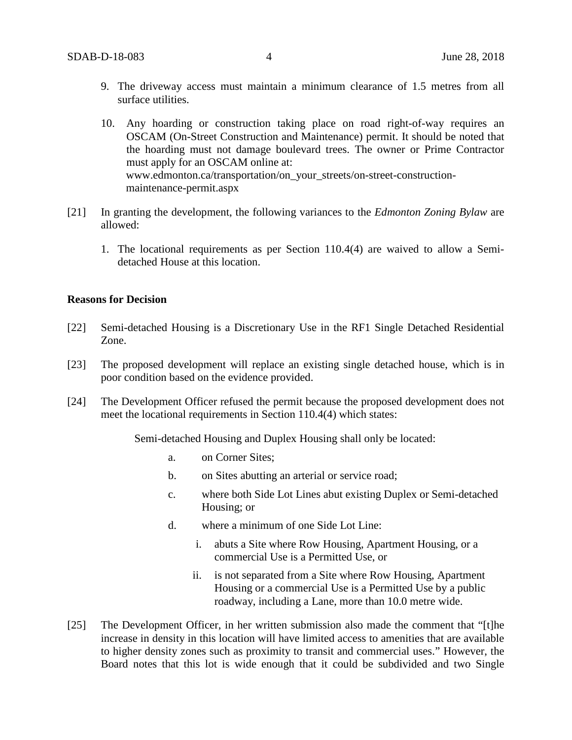- 9. The driveway access must maintain a minimum clearance of 1.5 metres from all surface utilities.
- 10. Any hoarding or construction taking place on road right-of-way requires an OSCAM (On-Street Construction and Maintenance) permit. It should be noted that the hoarding must not damage boulevard trees. The owner or Prime Contractor must apply for an OSCAM online at: www.edmonton.ca/transportation/on\_your\_streets/on-street-constructionmaintenance-permit.aspx
- [21] In granting the development, the following variances to the *Edmonton Zoning Bylaw* are allowed:
	- 1. The locational requirements as per Section 110.4(4) are waived to allow a Semidetached House at this location.

#### **Reasons for Decision**

- [22] Semi-detached Housing is a Discretionary Use in the RF1 Single Detached Residential Zone.
- [23] The proposed development will replace an existing single detached house, which is in poor condition based on the evidence provided.
- [24] The Development Officer refused the permit because the proposed development does not meet the locational requirements in Section 110.4(4) which states:

Semi-detached Housing and Duplex Housing shall only be located:

- a. on Corner Sites;
- b. on Sites abutting an arterial or service road;
- c. where both Side Lot Lines abut existing Duplex or Semi-detached Housing; or
- d. where a minimum of one Side Lot Line:
	- i. abuts a Site where Row Housing, Apartment Housing, or a commercial Use is a Permitted Use, or
	- ii. is not separated from a Site where Row Housing, Apartment Housing or a commercial Use is a Permitted Use by a public roadway, including a Lane, more than [10.0 me](javascript:void(0);)tre wide.
- [25] The Development Officer, in her written submission also made the comment that "[t]he increase in density in this location will have limited access to amenities that are available to higher density zones such as proximity to transit and commercial uses." However, the Board notes that this lot is wide enough that it could be subdivided and two Single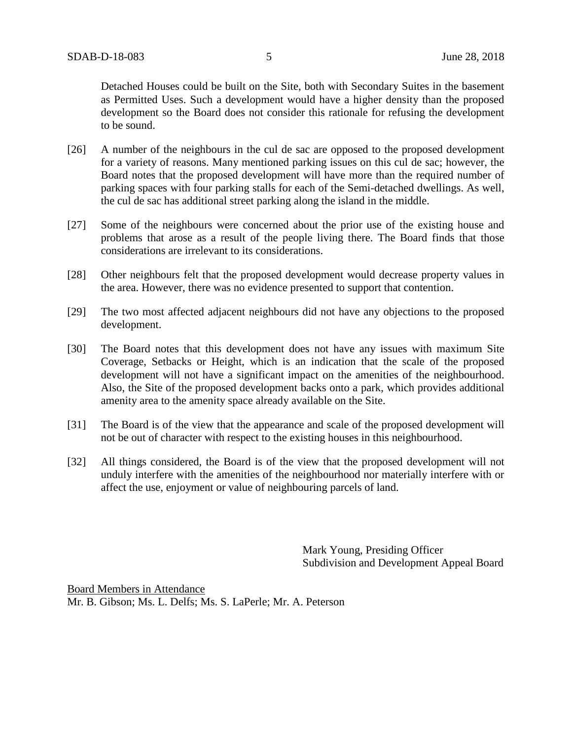Detached Houses could be built on the Site, both with Secondary Suites in the basement as Permitted Uses. Such a development would have a higher density than the proposed development so the Board does not consider this rationale for refusing the development to be sound.

- [26] A number of the neighbours in the cul de sac are opposed to the proposed development for a variety of reasons. Many mentioned parking issues on this cul de sac; however, the Board notes that the proposed development will have more than the required number of parking spaces with four parking stalls for each of the Semi-detached dwellings. As well, the cul de sac has additional street parking along the island in the middle.
- [27] Some of the neighbours were concerned about the prior use of the existing house and problems that arose as a result of the people living there. The Board finds that those considerations are irrelevant to its considerations.
- [28] Other neighbours felt that the proposed development would decrease property values in the area. However, there was no evidence presented to support that contention.
- [29] The two most affected adjacent neighbours did not have any objections to the proposed development.
- [30] The Board notes that this development does not have any issues with maximum Site Coverage, Setbacks or Height, which is an indication that the scale of the proposed development will not have a significant impact on the amenities of the neighbourhood. Also, the Site of the proposed development backs onto a park, which provides additional amenity area to the amenity space already available on the Site.
- [31] The Board is of the view that the appearance and scale of the proposed development will not be out of character with respect to the existing houses in this neighbourhood.
- [32] All things considered, the Board is of the view that the proposed development will not unduly interfere with the amenities of the neighbourhood nor materially interfere with or affect the use, enjoyment or value of neighbouring parcels of land.

Mark Young, Presiding Officer Subdivision and Development Appeal Board

Board Members in Attendance Mr. B. Gibson; Ms. L. Delfs; Ms. S. LaPerle; Mr. A. Peterson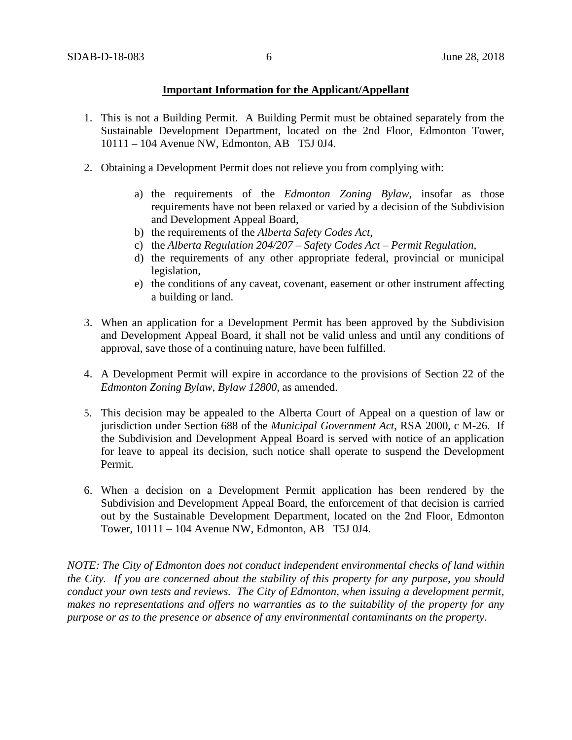## **Important Information for the Applicant/Appellant**

- 1. This is not a Building Permit. A Building Permit must be obtained separately from the Sustainable Development Department, located on the 2nd Floor, Edmonton Tower, 10111 – 104 Avenue NW, Edmonton, AB T5J 0J4.
- 2. Obtaining a Development Permit does not relieve you from complying with:
	- a) the requirements of the *Edmonton Zoning Bylaw*, insofar as those requirements have not been relaxed or varied by a decision of the Subdivision and Development Appeal Board,
	- b) the requirements of the *Alberta Safety Codes Act*,
	- c) the *Alberta Regulation 204/207 – Safety Codes Act – Permit Regulation*,
	- d) the requirements of any other appropriate federal, provincial or municipal legislation,
	- e) the conditions of any caveat, covenant, easement or other instrument affecting a building or land.
- 3. When an application for a Development Permit has been approved by the Subdivision and Development Appeal Board, it shall not be valid unless and until any conditions of approval, save those of a continuing nature, have been fulfilled.
- 4. A Development Permit will expire in accordance to the provisions of Section 22 of the *Edmonton Zoning Bylaw, Bylaw 12800*, as amended.
- 5. This decision may be appealed to the Alberta Court of Appeal on a question of law or jurisdiction under Section 688 of the *Municipal Government Act*, RSA 2000, c M-26. If the Subdivision and Development Appeal Board is served with notice of an application for leave to appeal its decision, such notice shall operate to suspend the Development Permit.
- 6. When a decision on a Development Permit application has been rendered by the Subdivision and Development Appeal Board, the enforcement of that decision is carried out by the Sustainable Development Department, located on the 2nd Floor, Edmonton Tower, 10111 – 104 Avenue NW, Edmonton, AB T5J 0J4.

*NOTE: The City of Edmonton does not conduct independent environmental checks of land within the City. If you are concerned about the stability of this property for any purpose, you should conduct your own tests and reviews. The City of Edmonton, when issuing a development permit, makes no representations and offers no warranties as to the suitability of the property for any purpose or as to the presence or absence of any environmental contaminants on the property.*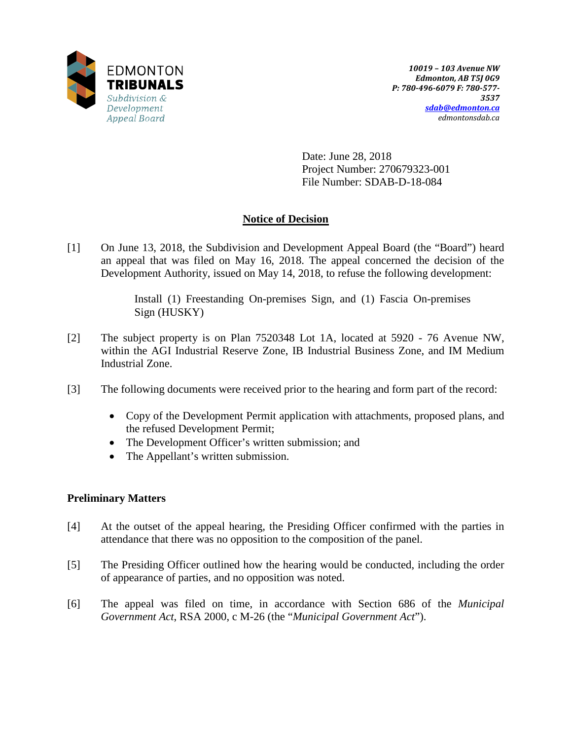

Date: June 28, 2018 Project Number: 270679323-001 File Number: SDAB-D-18-084

## **Notice of Decision**

[1] On June 13, 2018, the Subdivision and Development Appeal Board (the "Board") heard an appeal that was filed on May 16, 2018. The appeal concerned the decision of the Development Authority, issued on May 14, 2018, to refuse the following development:

> Install (1) Freestanding On-premises Sign, and (1) Fascia On-premises Sign (HUSKY)

- [2] The subject property is on Plan 7520348 Lot 1A, located at 5920 76 Avenue NW, within the AGI Industrial Reserve Zone, IB Industrial Business Zone, and IM Medium Industrial Zone.
- [3] The following documents were received prior to the hearing and form part of the record:
	- Copy of the Development Permit application with attachments, proposed plans, and the refused Development Permit;
	- The Development Officer's written submission; and
	- The Appellant's written submission.

## **Preliminary Matters**

- [4] At the outset of the appeal hearing, the Presiding Officer confirmed with the parties in attendance that there was no opposition to the composition of the panel.
- [5] The Presiding Officer outlined how the hearing would be conducted, including the order of appearance of parties, and no opposition was noted.
- [6] The appeal was filed on time, in accordance with Section 686 of the *Municipal Government Act*, RSA 2000, c M-26 (the "*Municipal Government Act*").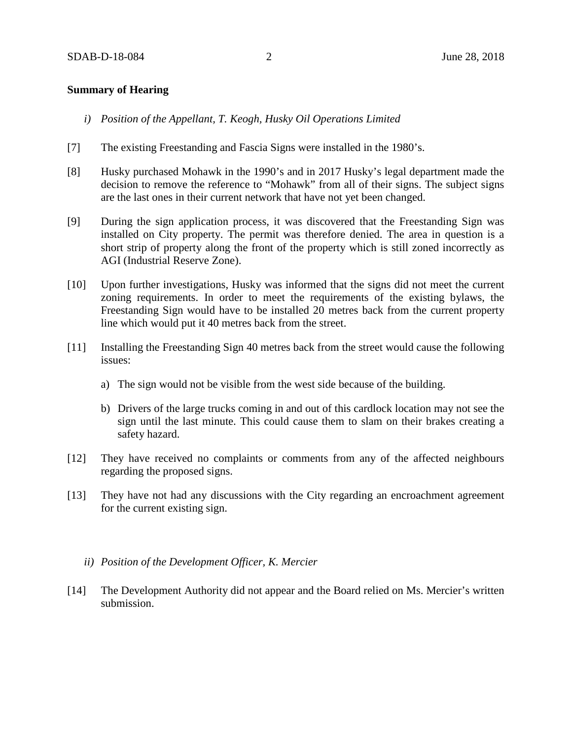#### **Summary of Hearing**

- *i) Position of the Appellant, T. Keogh, Husky Oil Operations Limited*
- [7] The existing Freestanding and Fascia Signs were installed in the 1980's.
- [8] Husky purchased Mohawk in the 1990's and in 2017 Husky's legal department made the decision to remove the reference to "Mohawk" from all of their signs. The subject signs are the last ones in their current network that have not yet been changed.
- [9] During the sign application process, it was discovered that the Freestanding Sign was installed on City property. The permit was therefore denied. The area in question is a short strip of property along the front of the property which is still zoned incorrectly as AGI (Industrial Reserve Zone).
- [10] Upon further investigations, Husky was informed that the signs did not meet the current zoning requirements. In order to meet the requirements of the existing bylaws, the Freestanding Sign would have to be installed 20 metres back from the current property line which would put it 40 metres back from the street.
- [11] Installing the Freestanding Sign 40 metres back from the street would cause the following issues:
	- a) The sign would not be visible from the west side because of the building.
	- b) Drivers of the large trucks coming in and out of this cardlock location may not see the sign until the last minute. This could cause them to slam on their brakes creating a safety hazard.
- [12] They have received no complaints or comments from any of the affected neighbours regarding the proposed signs.
- [13] They have not had any discussions with the City regarding an encroachment agreement for the current existing sign.
	- *ii) Position of the Development Officer, K. Mercier*
- [14] The Development Authority did not appear and the Board relied on Ms. Mercier's written submission.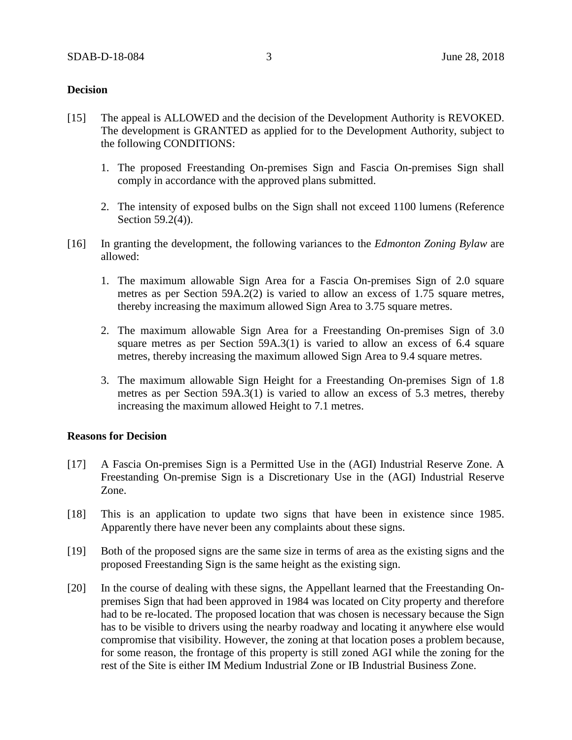### **Decision**

- [15] The appeal is ALLOWED and the decision of the Development Authority is REVOKED. The development is GRANTED as applied for to the Development Authority, subject to the following CONDITIONS:
	- 1. The proposed Freestanding On-premises Sign and Fascia On-premises Sign shall comply in accordance with the approved plans submitted.
	- 2. The intensity of exposed bulbs on the Sign shall not exceed 1100 lumens (Reference Section 59.2(4)).
- [16] In granting the development, the following variances to the *Edmonton Zoning Bylaw* are allowed:
	- 1. The maximum allowable Sign Area for a Fascia On-premises Sign of 2.0 square metres as per Section 59A.2(2) is varied to allow an excess of 1.75 square metres, thereby increasing the maximum allowed Sign Area to 3.75 square metres.
	- 2. The maximum allowable Sign Area for a Freestanding On-premises Sign of 3.0 square metres as per Section 59A.3(1) is varied to allow an excess of 6.4 square metres, thereby increasing the maximum allowed Sign Area to 9.4 square metres.
	- 3. The maximum allowable Sign Height for a Freestanding On-premises Sign of 1.8 metres as per Section 59A.3(1) is varied to allow an excess of 5.3 metres, thereby increasing the maximum allowed Height to 7.1 metres.

#### **Reasons for Decision**

- [17] A Fascia On-premises Sign is a Permitted Use in the (AGI) Industrial Reserve Zone. A Freestanding On-premise Sign is a Discretionary Use in the (AGI) Industrial Reserve Zone.
- [18] This is an application to update two signs that have been in existence since 1985. Apparently there have never been any complaints about these signs.
- [19] Both of the proposed signs are the same size in terms of area as the existing signs and the proposed Freestanding Sign is the same height as the existing sign.
- [20] In the course of dealing with these signs, the Appellant learned that the Freestanding Onpremises Sign that had been approved in 1984 was located on City property and therefore had to be re-located. The proposed location that was chosen is necessary because the Sign has to be visible to drivers using the nearby roadway and locating it anywhere else would compromise that visibility. However, the zoning at that location poses a problem because, for some reason, the frontage of this property is still zoned AGI while the zoning for the rest of the Site is either IM Medium Industrial Zone or IB Industrial Business Zone.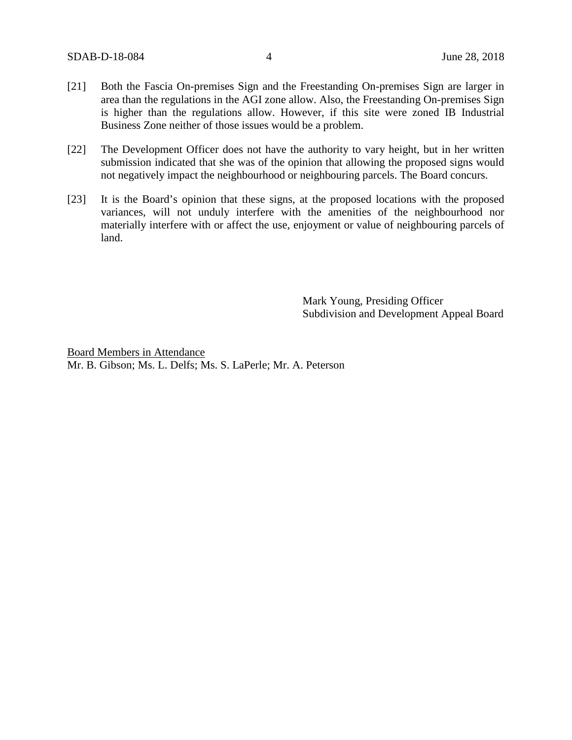- [21] Both the Fascia On-premises Sign and the Freestanding On-premises Sign are larger in area than the regulations in the AGI zone allow. Also, the Freestanding On-premises Sign is higher than the regulations allow. However, if this site were zoned IB Industrial Business Zone neither of those issues would be a problem.
- [22] The Development Officer does not have the authority to vary height, but in her written submission indicated that she was of the opinion that allowing the proposed signs would not negatively impact the neighbourhood or neighbouring parcels. The Board concurs.
- [23] It is the Board's opinion that these signs, at the proposed locations with the proposed variances, will not unduly interfere with the amenities of the neighbourhood nor materially interfere with or affect the use, enjoyment or value of neighbouring parcels of land.

Mark Young, Presiding Officer Subdivision and Development Appeal Board

Board Members in Attendance Mr. B. Gibson; Ms. L. Delfs; Ms. S. LaPerle; Mr. A. Peterson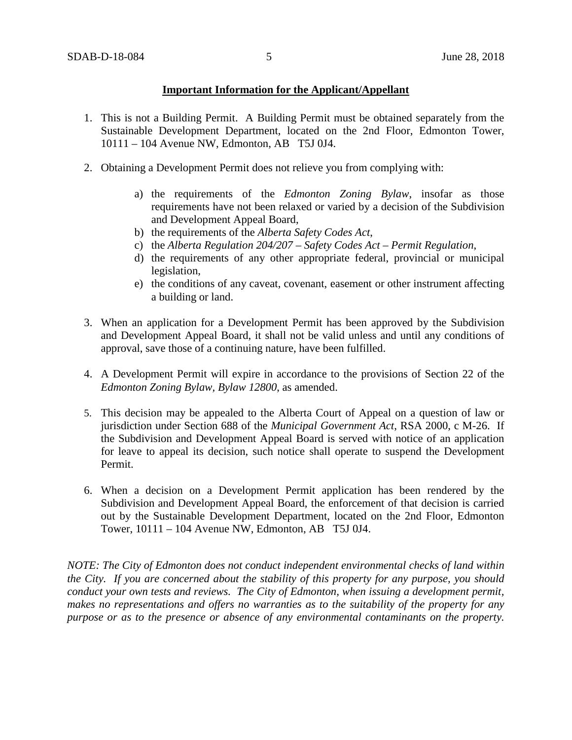## **Important Information for the Applicant/Appellant**

- 1. This is not a Building Permit. A Building Permit must be obtained separately from the Sustainable Development Department, located on the 2nd Floor, Edmonton Tower, 10111 – 104 Avenue NW, Edmonton, AB T5J 0J4.
- 2. Obtaining a Development Permit does not relieve you from complying with:
	- a) the requirements of the *Edmonton Zoning Bylaw*, insofar as those requirements have not been relaxed or varied by a decision of the Subdivision and Development Appeal Board,
	- b) the requirements of the *Alberta Safety Codes Act*,
	- c) the *Alberta Regulation 204/207 – Safety Codes Act – Permit Regulation*,
	- d) the requirements of any other appropriate federal, provincial or municipal legislation,
	- e) the conditions of any caveat, covenant, easement or other instrument affecting a building or land.
- 3. When an application for a Development Permit has been approved by the Subdivision and Development Appeal Board, it shall not be valid unless and until any conditions of approval, save those of a continuing nature, have been fulfilled.
- 4. A Development Permit will expire in accordance to the provisions of Section 22 of the *Edmonton Zoning Bylaw, Bylaw 12800*, as amended.
- 5. This decision may be appealed to the Alberta Court of Appeal on a question of law or jurisdiction under Section 688 of the *Municipal Government Act*, RSA 2000, c M-26. If the Subdivision and Development Appeal Board is served with notice of an application for leave to appeal its decision, such notice shall operate to suspend the Development Permit.
- 6. When a decision on a Development Permit application has been rendered by the Subdivision and Development Appeal Board, the enforcement of that decision is carried out by the Sustainable Development Department, located on the 2nd Floor, Edmonton Tower, 10111 – 104 Avenue NW, Edmonton, AB T5J 0J4.

*NOTE: The City of Edmonton does not conduct independent environmental checks of land within the City. If you are concerned about the stability of this property for any purpose, you should conduct your own tests and reviews. The City of Edmonton, when issuing a development permit, makes no representations and offers no warranties as to the suitability of the property for any purpose or as to the presence or absence of any environmental contaminants on the property.*